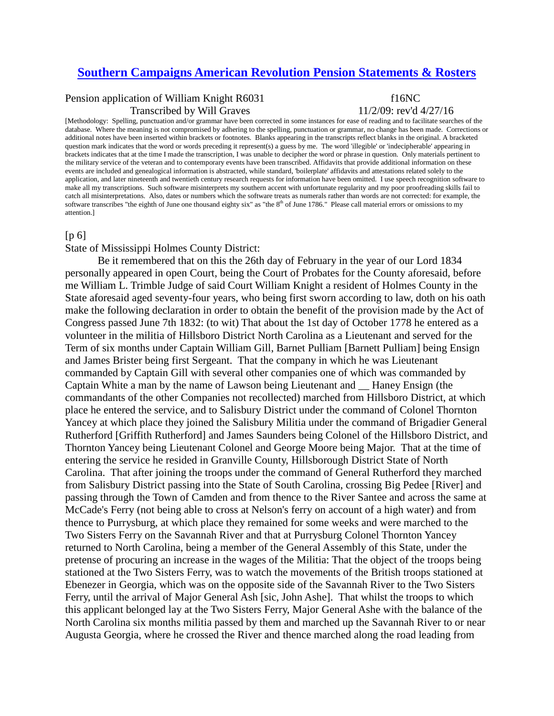## **[Southern Campaigns American Revolution Pension Statements & Rosters](http://revwarapps.org/)**

## Pension application of William Knight R6031 f16NC

Transcribed by Will Graves 11/2/09: rev'd 4/27/16

[Methodology: Spelling, punctuation and/or grammar have been corrected in some instances for ease of reading and to facilitate searches of the database. Where the meaning is not compromised by adhering to the spelling, punctuation or grammar, no change has been made. Corrections or additional notes have been inserted within brackets or footnotes. Blanks appearing in the transcripts reflect blanks in the original. A bracketed question mark indicates that the word or words preceding it represent(s) a guess by me. The word 'illegible' or 'indecipherable' appearing in brackets indicates that at the time I made the transcription, I was unable to decipher the word or phrase in question. Only materials pertinent to the military service of the veteran and to contemporary events have been transcribed. Affidavits that provide additional information on these events are included and genealogical information is abstracted, while standard, 'boilerplate' affidavits and attestations related solely to the application, and later nineteenth and twentieth century research requests for information have been omitted. I use speech recognition software to make all my transcriptions. Such software misinterprets my southern accent with unfortunate regularity and my poor proofreading skills fail to catch all misinterpretations. Also, dates or numbers which the software treats as numerals rather than words are not corrected: for example, the software transcribes "the eighth of June one thousand eighty six" as "the 8<sup>th</sup> of June 1786." Please call material errors or omissions to my attention.]

## [p 6]

State of Mississippi Holmes County District:

Be it remembered that on this the 26th day of February in the year of our Lord 1834 personally appeared in open Court, being the Court of Probates for the County aforesaid, before me William L. Trimble Judge of said Court William Knight a resident of Holmes County in the State aforesaid aged seventy-four years, who being first sworn according to law, doth on his oath make the following declaration in order to obtain the benefit of the provision made by the Act of Congress passed June 7th 1832: (to wit) That about the 1st day of October 1778 he entered as a volunteer in the militia of Hillsboro District North Carolina as a Lieutenant and served for the Term of six months under Captain William Gill, Barnet Pulliam [Barnett Pulliam] being Ensign and James Brister being first Sergeant. That the company in which he was Lieutenant commanded by Captain Gill with several other companies one of which was commanded by Captain White a man by the name of Lawson being Lieutenant and \_\_ Haney Ensign (the commandants of the other Companies not recollected) marched from Hillsboro District, at which place he entered the service, and to Salisbury District under the command of Colonel Thornton Yancey at which place they joined the Salisbury Militia under the command of Brigadier General Rutherford [Griffith Rutherford] and James Saunders being Colonel of the Hillsboro District, and Thornton Yancey being Lieutenant Colonel and George Moore being Major. That at the time of entering the service he resided in Granville County, Hillsborough District State of North Carolina. That after joining the troops under the command of General Rutherford they marched from Salisbury District passing into the State of South Carolina, crossing Big Pedee [River] and passing through the Town of Camden and from thence to the River Santee and across the same at McCade's Ferry (not being able to cross at Nelson's ferry on account of a high water) and from thence to Purrysburg, at which place they remained for some weeks and were marched to the Two Sisters Ferry on the Savannah River and that at Purrysburg Colonel Thornton Yancey returned to North Carolina, being a member of the General Assembly of this State, under the pretense of procuring an increase in the wages of the Militia: That the object of the troops being stationed at the Two Sisters Ferry, was to watch the movements of the British troops stationed at Ebenezer in Georgia, which was on the opposite side of the Savannah River to the Two Sisters Ferry, until the arrival of Major General Ash [sic, John Ashe]. That whilst the troops to which this applicant belonged lay at the Two Sisters Ferry, Major General Ashe with the balance of the North Carolina six months militia passed by them and marched up the Savannah River to or near Augusta Georgia, where he crossed the River and thence marched along the road leading from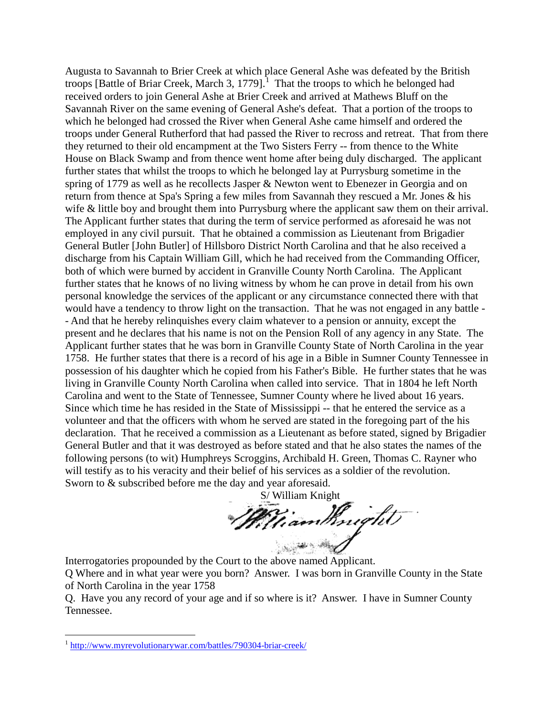Augusta to Savannah to Brier Creek at which place General Ashe was defeated by the British troops [Battle of Briar Creek, March 3, [1](#page-1-0)779]. $^1$  That the troops to which he belonged had received orders to join General Ashe at Brier Creek and arrived at Mathews Bluff on the Savannah River on the same evening of General Ashe's defeat. That a portion of the troops to which he belonged had crossed the River when General Ashe came himself and ordered the troops under General Rutherford that had passed the River to recross and retreat. That from there they returned to their old encampment at the Two Sisters Ferry -- from thence to the White House on Black Swamp and from thence went home after being duly discharged. The applicant further states that whilst the troops to which he belonged lay at Purrysburg sometime in the spring of 1779 as well as he recollects Jasper & Newton went to Ebenezer in Georgia and on return from thence at Spa's Spring a few miles from Savannah they rescued a Mr. Jones & his wife & little boy and brought them into Purrysburg where the applicant saw them on their arrival. The Applicant further states that during the term of service performed as aforesaid he was not employed in any civil pursuit. That he obtained a commission as Lieutenant from Brigadier General Butler [John Butler] of Hillsboro District North Carolina and that he also received a discharge from his Captain William Gill, which he had received from the Commanding Officer, both of which were burned by accident in Granville County North Carolina. The Applicant further states that he knows of no living witness by whom he can prove in detail from his own personal knowledge the services of the applicant or any circumstance connected there with that would have a tendency to throw light on the transaction. That he was not engaged in any battle - - And that he hereby relinquishes every claim whatever to a pension or annuity, except the present and he declares that his name is not on the Pension Roll of any agency in any State. The Applicant further states that he was born in Granville County State of North Carolina in the year 1758. He further states that there is a record of his age in a Bible in Sumner County Tennessee in possession of his daughter which he copied from his Father's Bible. He further states that he was living in Granville County North Carolina when called into service. That in 1804 he left North Carolina and went to the State of Tennessee, Sumner County where he lived about 16 years. Since which time he has resided in the State of Mississippi -- that he entered the service as a volunteer and that the officers with whom he served are stated in the foregoing part of the his declaration. That he received a commission as a Lieutenant as before stated, signed by Brigadier General Butler and that it was destroyed as before stated and that he also states the names of the following persons (to wit) Humphreys Scroggins, Archibald H. Green, Thomas C. Rayner who will testify as to his veracity and their belief of his services as a soldier of the revolution. Sworn to & subscribed before me the day and year aforesaid.

S/ William Knight<br>William Knight

Interrogatories propounded by the Court to the above named Applicant.

Q Where and in what year were you born? Answer. I was born in Granville County in the State of North Carolina in the year 1758

Q. Have you any record of your age and if so where is it? Answer. I have in Sumner County Tennessee.

<span id="page-1-0"></span> <sup>1</sup> <http://www.myrevolutionarywar.com/battles/790304-briar-creek/>